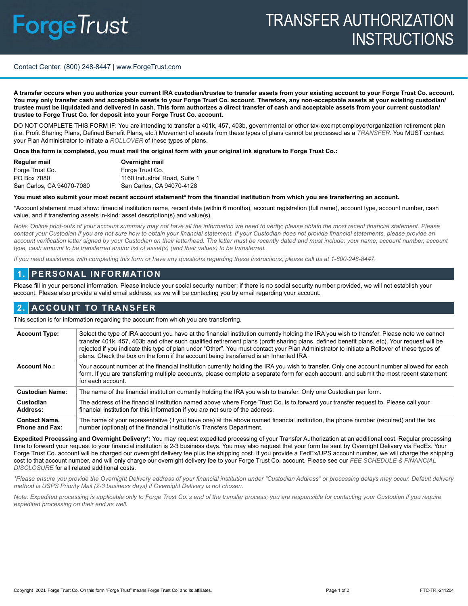# **ForgeTrust**

# TRANSFER AUTHORIZATION **INSTRUCTIONS**

#### Contact Center: (800) 248-8447 | www.ForgeTrust.com

**A transfer occurs when you authorize your current IRA custodian/trustee to transfer assets from your existing account to your Forge Trust Co. account. You may only transfer cash and acceptable assets to your Forge Trust Co. account. Therefore, any non-acceptable assets at your existing custodian/ trustee must be liquidated and delivered in cash. This form authorizes a direct transfer of cash and acceptable assets from your current custodian/ trustee to Forge Trust Co. for deposit into your Forge Trust Co. account.** 

DO NOT COMPLETE THIS FORM IF: You are intending to transfer a 401k, 457, 403b, governmental or other tax-exempt employer/organization retirement plan (i.e. Profit Sharing Plans, Defined Benefit Plans, etc.) Movement of assets from these types of plans cannot be processed as a *TRANSFER*. You MUST contact your Plan Administrator to initiate a *ROLLOVER* of these types of plans.

**Once the form is completed, you must mail the original form with your original ink signature to Forge Trust Co.:**

| Regular mail              | Overnight mail                |
|---------------------------|-------------------------------|
| Forge Trust Co.           | Forge Trust Co.               |
| PO Box 7080               | 1160 Industrial Road, Suite 1 |
| San Carlos, CA 94070-7080 | San Carlos, CA 94070-4128     |

#### **You must also submit your most recent account statement\* from the financial institution from which you are transferring an account.**

\*Account statement must show: financial institution name, recent date (within 6 months), account registration (full name), account type, account number, cash value, and if transferring assets in-kind: asset description(s) and value(s).

*Note: Online print-outs of your account summary may not have all the information we need to verify; please obtain the most recent financial statement. Please contact your Custodian if you are not sure how to obtain your financial statement. If your Custodian does not provide financial statements, please provide an*  account verification letter signed by your Custodian on their letterhead. The letter must be recently dated and must include: your name, account number, account *type, cash amount to be transferred and/or list of asset(s) (and their values) to be transferred.*

*If you need assistance with completing this form or have any questions regarding these instructions, please call us at 1-800-248-8447.*

## **1. PERSONAL INFORMATION**

Please fill in your personal information. Please include your social security number; if there is no social security number provided, we will not establish your account. Please also provide a valid email address, as we will be contacting you by email regarding your account.

## **2. ACCOUNT TO TRANSFER**

This section is for information regarding the account from which you are transferring.

| <b>Account Type:</b>                          | Select the type of IRA account you have at the financial institution currently holding the IRA you wish to transfer. Please note we cannot<br>transfer 401k, 457, 403b and other such qualified retirement plans (profit sharing plans, defined benefit plans, etc). Your request will be<br>rejected if you indicate this type of plan under "Other". You must contact your Plan Administrator to initiate a Rollover of these types of<br>plans. Check the box on the form if the account being transferred is an Inherited IRA |  |
|-----------------------------------------------|-----------------------------------------------------------------------------------------------------------------------------------------------------------------------------------------------------------------------------------------------------------------------------------------------------------------------------------------------------------------------------------------------------------------------------------------------------------------------------------------------------------------------------------|--|
| <b>Account No.:</b>                           | Your account number at the financial institution currently holding the IRA you wish to transfer. Only one account number allowed for each<br>form. If you are transferring multiple accounts, please complete a separate form for each account, and submit the most recent statement<br>for each account.                                                                                                                                                                                                                         |  |
| <b>Custodian Name:</b>                        | The name of the financial institution currently holding the IRA you wish to transfer. Only one Custodian per form.                                                                                                                                                                                                                                                                                                                                                                                                                |  |
| Custodian<br>Address:                         | The address of the financial institution named above where Forge Trust Co. is to forward your transfer request to. Please call your<br>financial institution for this information if you are not sure of the address.                                                                                                                                                                                                                                                                                                             |  |
| <b>Contact Name,</b><br><b>Phone and Fax:</b> | The name of your representative (if you have one) at the above named financial institution, the phone number (required) and the fax<br>number (optional) of the financial institution's Transfers Department.                                                                                                                                                                                                                                                                                                                     |  |

**Expedited Processing and Overnight Delivery\*:** You may request expedited processing of your Transfer Authorization at an additional cost. Regular processing time to forward your request to your financial institution is 2-3 business days. You may also request that your form be sent by Overnight Delivery via FedEx. Your Forge Trust Co. account will be charged our overnight delivery fee plus the shipping cost. If you provide a FedEx/UPS account number, we will charge the shipping cost to that account number, and will only charge our overnight delivery fee to your Forge Trust Co. account. Please see our *FEE SCHEDULE & FINANCIAL DISCLOSURE* for all related additional costs.

*\*Please ensure you provide the Overnight Delivery address of your financial institution under "Custodian Address" or processing delays may occur. Default delivery method is USPS Priority Mail (2-3 business days) if Overnight Delivery is not chosen.*

*Note: Expedited processing is applicable only to Forge Trust Co.'s end of the transfer process; you are responsible for contacting your Custodian if you require expedited processing on their end as well.*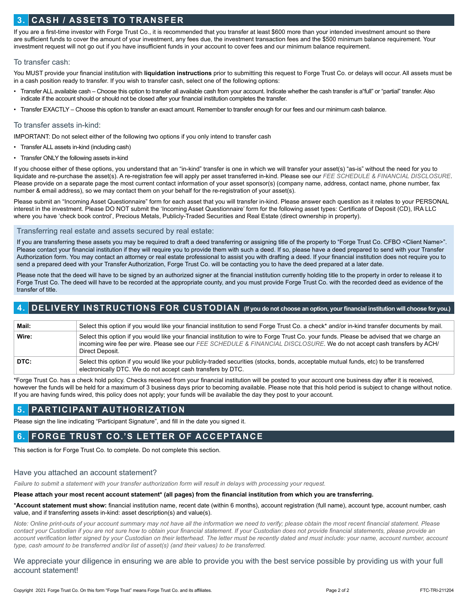# **3. CASH / ASSETS TO TRANSFER**

If you are a first-time investor with Forge Trust Co., it is recommended that you transfer at least \$600 more than your intended investment amount so there are sufficient funds to cover the amount of your investment, any fees due, the investment transaction fees and the \$500 minimum balance requirement. Your investment request will not go out if you have insufficient funds in your account to cover fees and our minimum balance requirement.

#### To transfer cash:

You MUST provide your financial institution with **liquidation instructions** prior to submitting this request to Forge Trust Co. or delays will occur. All assets must be in a cash position ready to transfer. If you wish to transfer cash, select one of the following options:

- Transfer ALL available cash Choose this option to transfer all available cash from your account. Indicate whether the cash transfer is a"full" or "partial" transfer. Also indicate if the account should or should not be closed after your financial institution completes the transfer.
- Transfer EXACTLY Choose this option to transfer an exact amount. Remember to transfer enough for our fees and our minimum cash balance.

#### To transfer assets in-kind:

IMPORTANT: Do not select either of the following two options if you only intend to transfer cash

- Transfer ALL assets in-kind (including cash)
- Transfer ONLY the following assets in-kind

If you choose either of these options, you understand that an "in-kind" transfer is one in which we will transfer your asset(s) "as-is" without the need for you to liquidate and re-purchase the asset(s). A re-registration fee will apply per asset transferred in-kind. Please see our *FEE SCHEDULE & FINANCIAL DISCLOSURE*. Please provide on a separate page the most current contact information of your asset sponsor(s) (company name, address, contact name, phone number, fax number & email address), so we may contact them on your behalf for the re-registration of your asset(s).

Please submit an "Incoming Asset Questionnaire" form for each asset that you will transfer in-kind. Please answer each question as it relates to your PERSONAL interest in the investment. Please DO NOT submit the 'Incoming Asset Questionnaire' form for the following asset types: Certificate of Deposit (CD), IRA LLC where you have 'check book control', Precious Metals, Publicly-Traded Securities and Real Estate (direct ownership in property).

#### Transferring real estate and assets secured by real estate:

If you are transferring these assets you may be required to draft a deed transferring or assigning title of the property to "Forge Trust Co. CFBO <Client Name>". Please contact your financial institution if they will require you to provide them with such a deed. If so, please have a deed prepared to send with your Transfer Authorization form. You may contact an attorney or real estate professional to assist you with drafting a deed. If your financial institution does not require you to send a prepared deed with your Transfer Authorization, Forge Trust Co. will be contacting you to have the deed prepared at a later date.

Please note that the deed will have to be signed by an authorized signer at the financial institution currently holding title to the property in order to release it to Forge Trust Co. The deed will have to be recorded at the appropriate county, and you must provide Forge Trust Co. with the recorded deed as evidence of the transfer of title.

# **4. DELIVERY INSTRUCTIONS FOR CUSTODIAN (If you do not choose an option, your financial institution will choose for you.)**

| Mail: | Select this option if you would like your financial institution to send Forge Trust Co. a check* and/or in-kind transfer documents by mail.                                                                                                                                              |
|-------|------------------------------------------------------------------------------------------------------------------------------------------------------------------------------------------------------------------------------------------------------------------------------------------|
| Wire: | Select this option if you would like your financial institution to wire to Forge Trust Co. your funds. Please be advised that we charge an<br>incoming wire fee per wire. Please see our FEE SCHEDULE & FINANCIAL DISCLOSURE. We do not accept cash transfers by ACH/<br>Direct Deposit. |
| DTC:  | Select this option if you would like your publicly-traded securities (stocks, bonds, acceptable mutual funds, etc) to be transferred<br>electronically DTC. We do not accept cash transfers by DTC.                                                                                      |

\*Forge Trust Co. has a check hold policy. Checks received from your financial institution will be posted to your account one business day after it is received, however the funds will be held for a maximum of 3 business days prior to becoming available. Please note that this hold period is subject to change without notice. If you are having funds wired, this policy does not apply; your funds will be available the day they post to your account.

## **5. PARTICIPANT AUTHORIZATION**

Please sign the line indicating "Participant Signature", and fill in the date you signed it.

# **6. FORGE TRUST CO.'S LETTER OF ACCEPTANCE**

This section is for Forge Trust Co. to complete. Do not complete this section.

#### Have you attached an account statement?

*Failure to submit a statement with your transfer authorization form will result in delays with processing your request.*

#### **Please attach your most recent account statement\* (all pages) from the financial institution from which you are transferring.**

\***Account statement must show:** financial institution name, recent date (within 6 months), account registration (full name), account type, account number, cash value, and if transferring assets in-kind: asset description(s) and value(s).

*Note: Online print-outs of your account summary may not have all the information we need to verify; please obtain the most recent financial statement. Please*  contact your Custodian if you are not sure how to obtain your financial statement. If your Custodian does not provide financial statements, please provide an account verification letter signed by your Custodian on their letterhead. The letter must be recently dated and must include: your name, account number, account *type, cash amount to be transferred and/or list of asset(s) (and their values) to be transferred.*

We appreciate your diligence in ensuring we are able to provide you with the best service possible by providing us with your full account statement!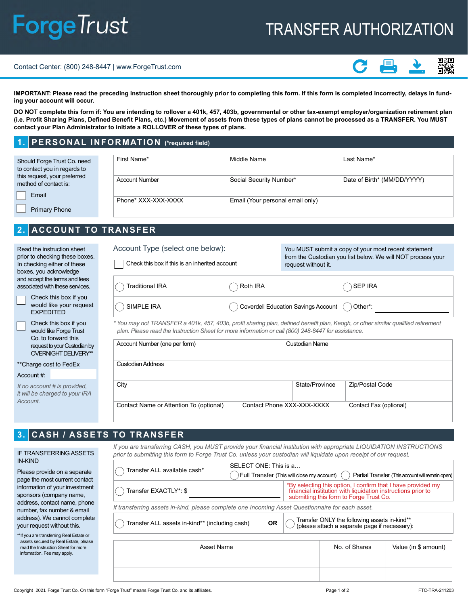# **ForgeTrust**

# TRANSFER AUTHORIZATION

#### Contact Center: (800) 248-8447 | www.ForgeTrust.com



**IMPORTANT: Please read the preceding instruction sheet thoroughly prior to completing this form. If this form is completed incorrectly, delays in funding your account will occur.**

**DO NOT complete this form if: You are intending to rollover a 401k, 457, 403b, governmental or other tax-exempt employer/organization retirement plan (i.e. Profit Sharing Plans, Defined Benefit Plans, etc.) Movement of assets from these types of plans cannot be processed as a TRANSFER. You MUST contact your Plan Administrator to initiate a ROLLOVER of these types of plans.**

## **1. PERSONAL INFORMATION (\*required field)**

| Should Forge Trust Co. need<br>to contact you in regards to | First Name*           | Middle Name                      | Last Name*                  |  |
|-------------------------------------------------------------|-----------------------|----------------------------------|-----------------------------|--|
| this request, your preferred<br>method of contact is:       | <b>Account Number</b> | Social Security Number*          | Date of Birth* (MM/DD/YYYY) |  |
| Email                                                       |                       |                                  |                             |  |
|                                                             | Phone* XXX-XXX-XXXX   | Email (Your personal email only) |                             |  |
| <b>Primary Phone</b>                                        |                       |                                  |                             |  |

# **2. ACCOUNT TO TRANSFER**

| Read the instruction sheet      |
|---------------------------------|
| prior to checking these boxes.  |
| In checking either of these     |
| boxes, you acknowledge          |
| and accept the terms and fees   |
| associated with these services. |

Check this box if you would like your request EXPEDITED

Check this box if you would like Forge Trust Co. to forward this request to your Custodian by OVERNIGHT DELIVERY\*\*

#### \*\*Charge cost to FedEx

#### Account #:

*If no account # is provided, it will be charged to your IRA Account.*

# Account Type (select one below):

Check this box if this is an inherited account

You MUST submit a copy of your most recent statement from the Custodian you list below. We will NOT process your request without it.

| Traditional IRA | Roth IRA                                                 | SEP IRA |
|-----------------|----------------------------------------------------------|---------|
| SIMPLE IRA      | ) Coverdell Education Savings Account $\bigcirc$ Other*: |         |

*\* You may not TRANSFER a 401k, 457, 403b, profit sharing plan, defined benefit plan, Keogh, or other similar qualified retirement plan. Please read the Instruction Sheet for more information or call (800) 248-8447 for assistance.*

| State/Province | Zip/Postal Code                              |
|----------------|----------------------------------------------|
|                | Contact Fax (optional)                       |
|                | Custodian Name<br>Contact Phone XXX-XXX-XXXX |

# **3. CASH / ASSETS TO TRANSFER**

IF TRANSFERRING ASSETS IN-KIND

Please provide on a separate page the most current contact information of your investment sponsors (company name, address, contact name, phone number, fax number & email address). We cannot complete your request without this.

| ** If you are transferring Real Estate or |
|-------------------------------------------|
| assets secured by Real Estate, please     |
| read the Instruction Sheet for more       |
| information. Fee may apply.               |

*If you are transferring CASH, you MUST provide your financial institution with appropriate LIQUIDATION INSTRUCTIONS prior to submitting this form to Forge Trust Co. unless your custodian will liquidate upon receipt of our request.*

| Transfer ALL available cash*                                                                     | SELECT ONE: This is a<br>$\left( \Gamma \right)$ $\left( \Gamma \right)$ $\left( \Gamma \right)$ $\left( \Gamma \right)$ $\left( \Gamma \right)$ $\left( \Gamma \right)$ $\left( \Gamma \right)$ $\left( \Gamma \right)$<br>Partial Transfer (This account will remain open) |                                                                                               |  |
|--------------------------------------------------------------------------------------------------|------------------------------------------------------------------------------------------------------------------------------------------------------------------------------------------------------------------------------------------------------------------------------|-----------------------------------------------------------------------------------------------|--|
| Transfer EXACTLY*: \$                                                                            | *By selecting this option, I confirm that I have provided my<br>financial institution with liquidation instructions prior to<br>submitting this form to Forge Trust Co.                                                                                                      |                                                                                               |  |
| If transferring assets in-kind, please complete one Incoming Asset Questionnaire for each asset. |                                                                                                                                                                                                                                                                              |                                                                                               |  |
| Transfer ALL assets in-kind** (including cash)<br><b>OR</b>                                      |                                                                                                                                                                                                                                                                              | Transfer ONLY the following assets in-kind**<br>(please attach a separate page if necessary): |  |

| Asset Name | No. of Shares | Value (in \$ amount) |
|------------|---------------|----------------------|
|            |               |                      |
|            |               |                      |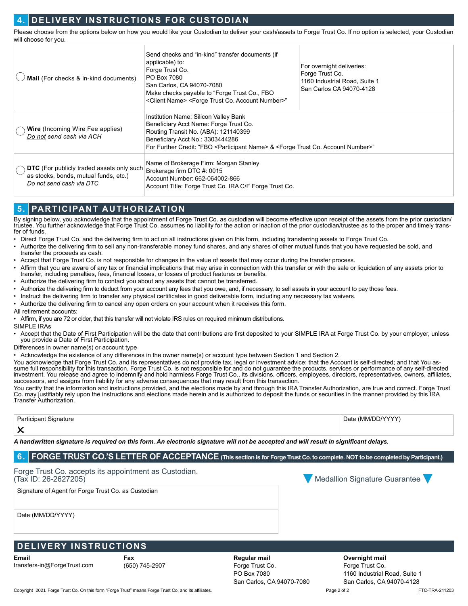# **4. DELIVERY INSTRUCTIONS FOR CUSTODIAN**

Please choose from the options below on how you would like your Custodian to deliver your cash/assets to Forge Trust Co. If no option is selected, your Custodian will choose for you.

| Mail (For checks & in-kind documents)                                                                                 | Send checks and "in-kind" transfer documents (if<br>applicable) to:<br>Forge Trust Co.<br>PO Box 7080<br>San Carlos, CA 94070-7080<br>Make checks payable to "Forge Trust Co., FBO<br><client name=""> <forge account="" co.="" number="" trust="">"</forge></client>                   | For overnight deliveries:<br>Forge Trust Co.<br>1160 Industrial Road, Suite 1<br>San Carlos CA 94070-4128 |
|-----------------------------------------------------------------------------------------------------------------------|-----------------------------------------------------------------------------------------------------------------------------------------------------------------------------------------------------------------------------------------------------------------------------------------|-----------------------------------------------------------------------------------------------------------|
| <b>Wire</b> (Incoming Wire Fee applies)<br>Do not send cash via ACH                                                   | Institution Name: Silicon Valley Bank<br>Beneficiary Acct Name: Forge Trust Co.<br>Routing Transit No. (ABA): 121140399<br>Beneficiary Acct No.: 3303444286<br>For Further Credit: "FBO <participant name=""> &amp; <forge account="" co.="" number="" trust="">"</forge></participant> |                                                                                                           |
| <b>DTC</b> (For publicly traded assets only such<br>as stocks, bonds, mutual funds, etc.)<br>Do not send cash via DTC | Name of Brokerage Firm: Morgan Stanley<br>Brokerage firm DTC #: 0015<br>Account Number: 662-064002-866<br>Account Title: Forge Trust Co. IRA C/F Forge Trust Co.                                                                                                                        |                                                                                                           |

# **5. PARTICIPANT AUTHORIZATION**

By signing below, you acknowledge that the appointment of Forge Trust Co. as custodian will become effective upon receipt of the assets from the prior custodian/ trustee. You further acknowledge that Forge Trust Co. assumes no liability for the action or inaction of the prior custodian/trustee as to the proper and timely transfer of funds.

- Direct Forge Trust Co. and the delivering firm to act on all instructions given on this form, including transferring assets to Forge Trust Co.
- Authorize the delivering firm to sell any non-transferable money fund shares, and any shares of other mutual funds that you have requested be sold, and transfer the proceeds as cash.
- Accept that Forge Trust Co. is not responsible for changes in the value of assets that may occur during the transfer process.
- Affirm that you are aware of any tax or financial implications that may arise in connection with this transfer or with the sale or liquidation of any assets prior to transfer, including penalties, fees, financial losses, or losses of product features or benefits.
- Authorize the delivering firm to contact you about any assets that cannot be transferred.
- Authorize the delivering firm to deduct from your account any fees that you owe, and, if necessary, to sell assets in your account to pay those fees.
- Instruct the delivering firm to transfer any physical certificates in good deliverable form, including any necessary tax waivers.
- Authorize the delivering firm to cancel any open orders on your account when it receives this form.

All retirement accounts:

• Affirm, if you are 72 or older, that this transfer will not violate IRS rules on required minimum distributions.

SIMPLE IRAs

• Accept that the Date of First Participation will be the date that contributions are first deposited to your SIMPLE IRA at Forge Trust Co. by your employer, unless you provide a Date of First Participation.

Differences in owner name(s) or account type

• Acknowledge the existence of any differences in the owner name(s) or account type between Section 1 and Section 2.

You acknowledge that Forge Trust Co. and its representatives do not provide tax, legal or investment advice; that the Account is self-directed; and that You assume full responsibility for this transaction. Forge Trust Co. is not responsible for and do not guarantee the products, services or performance of any self-directed investment. You release and agree to indemnify and hold harmless Forge Trust Co., its divisions, officers, employees, directors, representatives, owners, affiliates, successors, and assigns from liability for any adverse consequences that may result from this transaction.

You certify that the information and instructions provided, and the elections made by and through this IRA Transfer Authorization, are true and correct. Forge Trust Co. may justifiably rely upon the instructions and elections made herein and is authorized to deposit the funds or securities in the manner provided by this IRA Transfer Authorization.

| -<br>$\mathbf{r}$ | $\sqrt{2}$ |
|-------------------|------------|
| ╭                 |            |

*A handwritten signature is required on this form. An electronic signature will not be accepted and will result in significant delays.* 

# **6. FORGE TRUST CO.'S LETTER OF ACCEPTANCE (This section is for Forge Trust Co. to complete. NOT to be completed by Participant.)**

Forge Trust Co. accepts its appointment as Custodian.<br>(Tax ID: 26-2627205)

Signature of Agent for Forge Trust Co. as Custodian

Date (MM/DD/YYYY)

# **DELIVERY INSTRUCTIONS**

**Email** transfers-in@ForgeTrust.com **Fax** (650) 745-2907 **Regular mail**  Forge Trust Co. PO Box 7080 San Carlos, CA 94070-7080 **Overnight mail**  Forge Trust Co. 1160 Industrial Road, Suite 1 San Carlos, CA 94070-4128

 $\sqrt{N}$  Medallion Signature Guarantee

Copyright 2021 Forge Trust Co. On this form "Forge Trust" means Forge Trust Co. and its affiliates. We recome that the state of the state of the Page 2 of 2 FTC-TRA-211203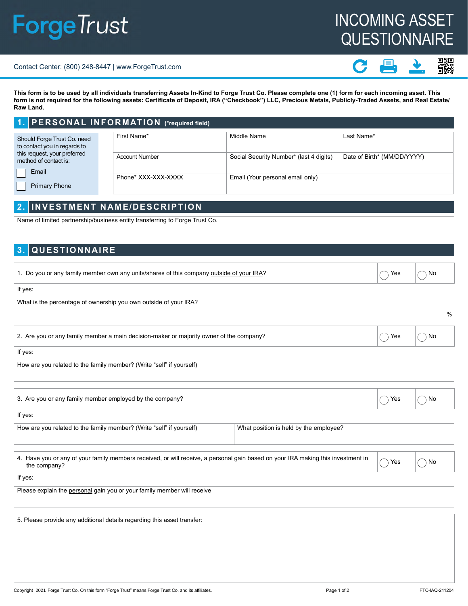# **ForgeTrust**

# INCOMING ASSET **QUESTIONNAIRE**

#### Contact Center: (800) 248-8447 | www.ForgeTrust.com

器

**This form is to be used by all individuals transferring Assets In-Kind to Forge Trust Co. Please complete one (1) form for each incoming asset. This form is not required for the following assets: Certificate of Deposit, IRA ("Checkbook") LLC, Precious Metals, Publicly-Traded Assets, and Real Estate/ Raw Land.**

|                                                             | 1. PERSONAL INFORMATION (*required field) |                       |                                         |                             |
|-------------------------------------------------------------|-------------------------------------------|-----------------------|-----------------------------------------|-----------------------------|
| Should Forge Trust Co. need<br>to contact you in regards to |                                           | First Name*           | Middle Name                             | Last Name*                  |
| this request, your preferred<br>method of contact is:       |                                           | <b>Account Number</b> | Social Security Number* (last 4 digits) | Date of Birth* (MM/DD/YYYY) |
| Email                                                       |                                           |                       |                                         |                             |
|                                                             |                                           | Phone* XXX-XXX-XXXX   | Email (Your personal email only)        |                             |
| <b>Primary Phone</b>                                        |                                           |                       |                                         |                             |

# **2. INVESTMENT NAME/DESCRIPTION**

Name of limited partnership/business entity transferring to Forge Trust Co.

# **3. QUESTIONNAIRE**

| 1. Do you or any family member own any units/shares of this company <u>outside of your IRA?</u> | $\wedge$ Yes $\wedge$ No |  |
|-------------------------------------------------------------------------------------------------|--------------------------|--|
| lf yes:                                                                                         |                          |  |
| $\mid$ What is the nercentage of ownership vou own outside of your IRA?                         |                          |  |

| villat is the percentage of ownership you own outside or your five:                     |      |
|-----------------------------------------------------------------------------------------|------|
| 2. Are you or any family member a main decision-maker or majority owner of the company? | ۱ Nc |

If yes:

How are you related to the family member? (Write "self" if yourself)

| 3. Are you or any family member employed by the company? | Yes | ) No |
|----------------------------------------------------------|-----|------|
| If yes:                                                  |     |      |

| How are you related to the family member? (Write "self" if yourself) | What position is held by the employee? |  |  |
|----------------------------------------------------------------------|----------------------------------------|--|--|
|                                                                      |                                        |  |  |

| . The rave you or any of your family members received, or will receive, a personal gain based on your IRA making this investment in $\hskip1cm$ $\hskip1cm$ $\hskip1cm$ Yes $\hskip1cm$ | $\bigcap$ No |
|-----------------------------------------------------------------------------------------------------------------------------------------------------------------------------------------|--------------|
| the company?                                                                                                                                                                            |              |

If yes:

Please explain the personal gain you or your family member will receive

5. Please provide any additional details regarding this asset transfer: